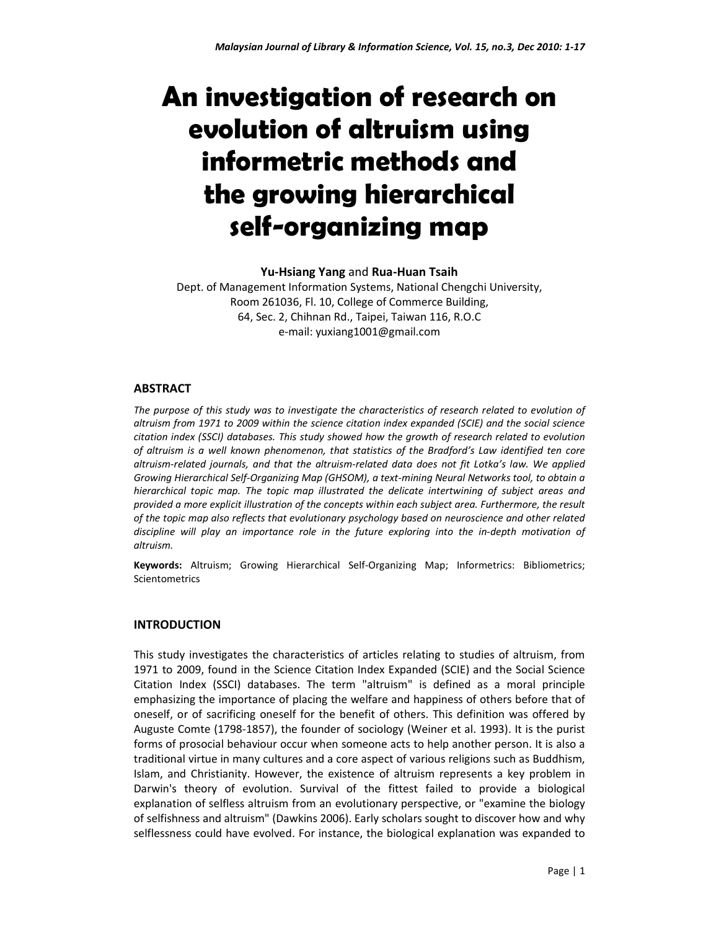# **An investigation of research on evolution of altruism using informetric methods and the growing hierarchical self-organizing map**

#### **Yu-Hsiang Yang** and **Rua-Huan Tsaih**

Dept. of Management Information Systems, National Chengchi University, Room 261036, Fl. 10, College of Commerce Building, 64, Sec. 2, Chihnan Rd., Taipei, Taiwan 116, R.O.C e-mail: yuxiang1001@gmail.com

## **ABSTRACT**

*The purpose of this study was to investigate the characteristics of research related to evolution of altruism from 1971 to 2009 within the science citation index expanded (SCIE) and the social science citation index (SSCI) databases. This study showed how the growth of research related to evolution of altruism is a well known phenomenon, that statistics of the Bradford's Law identified ten core altruism-related journals, and that the altruism-related data does not fit Lotka's law. We applied Growing Hierarchical Self-Organizing Map (GHSOM), a text-mining Neural Networks tool, to obtain a hierarchical topic map. The topic map illustrated the delicate intertwining of subject areas and provided a more explicit illustration of the concepts within each subject area. Furthermore, the result of the topic map also reflects that evolutionary psychology based on neuroscience and other related discipline will play an importance role in the future exploring into the in-depth motivation of altruism.* 

**Keywords:** Altruism; Growing Hierarchical Self-Organizing Map; Informetrics: Bibliometrics; Scientometrics

# **INTRODUCTION**

This study investigates the characteristics of articles relating to studies of altruism, from 1971 to 2009, found in the Science Citation Index Expanded (SCIE) and the Social Science Citation Index (SSCI) databases. The term "altruism" is defined as a moral principle emphasizing the importance of placing the welfare and happiness of others before that of oneself, or of sacrificing oneself for the benefit of others. This definition was offered by Auguste Comte (1798-1857), the founder of sociology (Weiner et al. 1993). It is the purist forms of prosocial behaviour occur when someone acts to help another person. It is also a traditional virtue in many cultures and a core aspect of various religions such as Buddhism, Islam, and Christianity. However, the existence of altruism represents a key problem in Darwin's theory of evolution. Survival of the fittest failed to provide a biological explanation of selfless altruism from an evolutionary perspective, or "examine the biology of selfishness and altruism" (Dawkins 2006). Early scholars sought to discover how and why selflessness could have evolved. For instance, the biological explanation was expanded to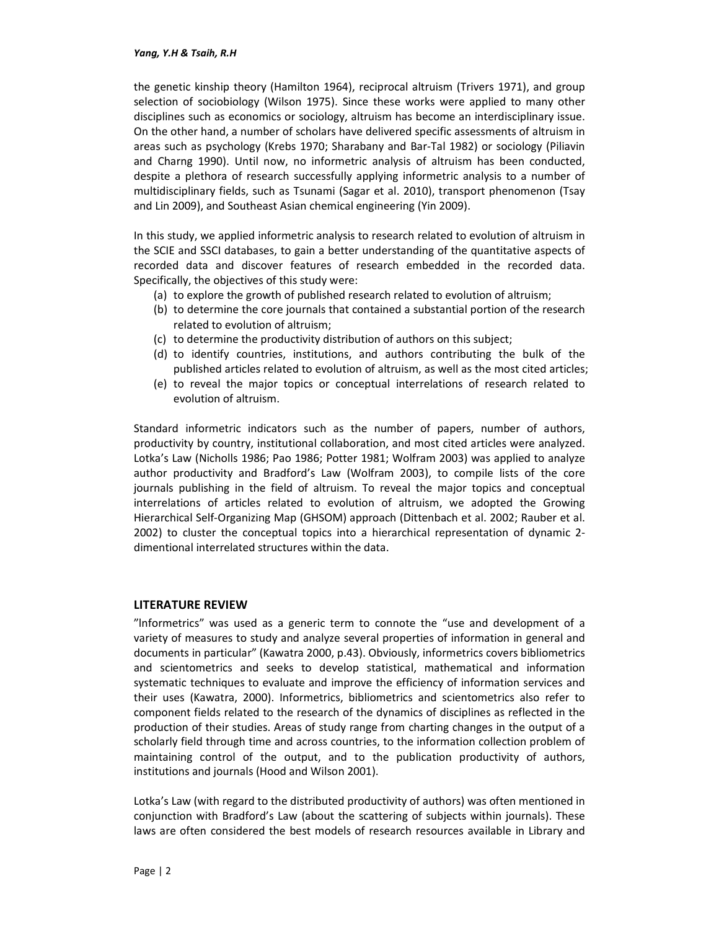#### *Yang, Y.H & Tsaih, R.H*

the genetic kinship theory (Hamilton 1964), reciprocal altruism (Trivers 1971), and group selection of sociobiology (Wilson 1975). Since these works were applied to many other disciplines such as economics or sociology, altruism has become an interdisciplinary issue. On the other hand, a number of scholars have delivered specific assessments of altruism in areas such as psychology (Krebs 1970; Sharabany and Bar-Tal 1982) or sociology (Piliavin and Charng 1990). Until now, no informetric analysis of altruism has been conducted, despite a plethora of research successfully applying informetric analysis to a number of multidisciplinary fields, such as Tsunami (Sagar et al. 2010), transport phenomenon (Tsay and Lin 2009), and Southeast Asian chemical engineering (Yin 2009).

In this study, we applied informetric analysis to research related to evolution of altruism in the SCIE and SSCI databases, to gain a better understanding of the quantitative aspects of recorded data and discover features of research embedded in the recorded data. Specifically, the objectives of this study were:

- (a) to explore the growth of published research related to evolution of altruism;
- (b) to determine the core journals that contained a substantial portion of the research related to evolution of altruism;
- (c) to determine the productivity distribution of authors on this subject;
- (d) to identify countries, institutions, and authors contributing the bulk of the published articles related to evolution of altruism, as well as the most cited articles;
- (e) to reveal the major topics or conceptual interrelations of research related to evolution of altruism.

Standard informetric indicators such as the number of papers, number of authors, productivity by country, institutional collaboration, and most cited articles were analyzed. Lotka's Law (Nicholls 1986; Pao 1986; Potter 1981; Wolfram 2003) was applied to analyze author productivity and Bradford's Law (Wolfram 2003), to compile lists of the core journals publishing in the field of altruism. To reveal the major topics and conceptual interrelations of articles related to evolution of altruism, we adopted the Growing Hierarchical Self-Organizing Map (GHSOM) approach (Dittenbach et al. 2002; Rauber et al. 2002) to cluster the conceptual topics into a hierarchical representation of dynamic 2 dimentional interrelated structures within the data.

## **LITERATURE REVIEW**

"lnformetrics" was used as a generic term to connote the "use and development of a variety of measures to study and analyze several properties of information in general and documents in particular" (Kawatra 2000, p.43). Obviously, informetrics covers bibliometrics and scientometrics and seeks to develop statistical, mathematical and information systematic techniques to evaluate and improve the efficiency of information services and their uses (Kawatra, 2000). Informetrics, bibliometrics and scientometrics also refer to component fields related to the research of the dynamics of disciplines as reflected in the production of their studies. Areas of study range from charting changes in the output of a scholarly field through time and across countries, to the information collection problem of maintaining control of the output, and to the publication productivity of authors, institutions and journals (Hood and Wilson 2001).

Lotka's Law (with regard to the distributed productivity of authors) was often mentioned in conjunction with Bradford's Law (about the scattering of subjects within journals). These laws are often considered the best models of research resources available in Library and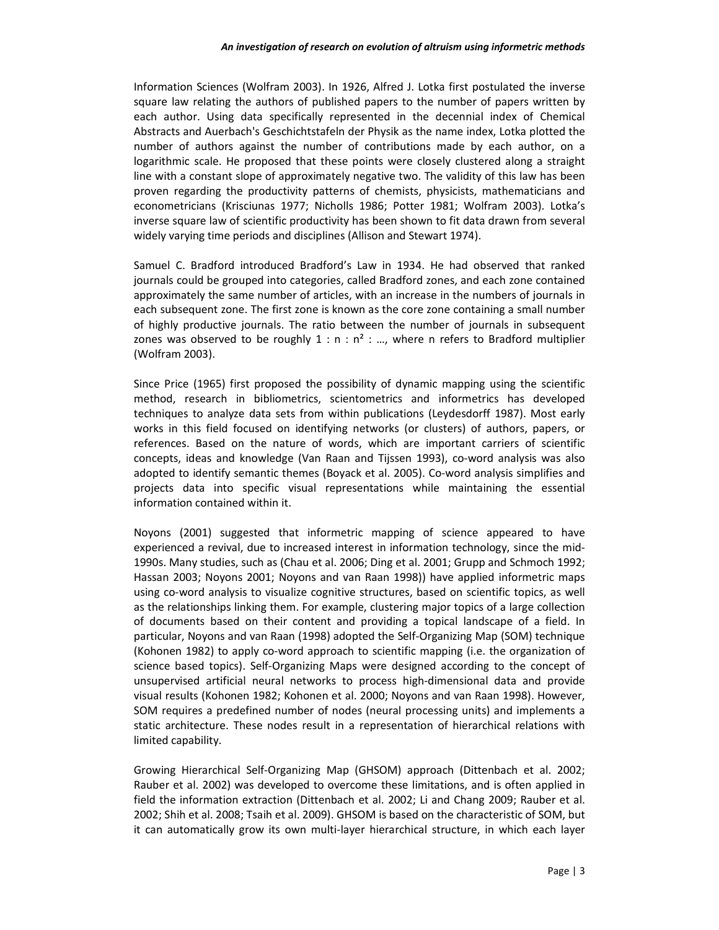Information Sciences (Wolfram 2003). In 1926, Alfred J. Lotka first postulated the inverse square law relating the authors of published papers to the number of papers written by each author. Using data specifically represented in the decennial index of Chemical Abstracts and Auerbach's Geschichtstafeln der Physik as the name index, Lotka plotted the number of authors against the number of contributions made by each author, on a logarithmic scale. He proposed that these points were closely clustered along a straight line with a constant slope of approximately negative two. The validity of this law has been proven regarding the productivity patterns of chemists, physicists, mathematicians and econometricians (Krisciunas 1977; Nicholls 1986; Potter 1981; Wolfram 2003). Lotka's inverse square law of scientific productivity has been shown to fit data drawn from several widely varying time periods and disciplines (Allison and Stewart 1974).

Samuel C. Bradford introduced Bradford's Law in 1934. He had observed that ranked journals could be grouped into categories, called Bradford zones, and each zone contained approximately the same number of articles, with an increase in the numbers of journals in each subsequent zone. The first zone is known as the core zone containing a small number of highly productive journals. The ratio between the number of journals in subsequent zones was observed to be roughly  $1 : n : n^2 : ...$ , where n refers to Bradford multiplier (Wolfram 2003).

Since Price (1965) first proposed the possibility of dynamic mapping using the scientific method, research in bibliometrics, scientometrics and informetrics has developed techniques to analyze data sets from within publications (Leydesdorff 1987). Most early works in this field focused on identifying networks (or clusters) of authors, papers, or references. Based on the nature of words, which are important carriers of scientific concepts, ideas and knowledge (Van Raan and Tijssen 1993), co-word analysis was also adopted to identify semantic themes (Boyack et al. 2005). Co-word analysis simplifies and projects data into specific visual representations while maintaining the essential information contained within it.

Noyons (2001) suggested that informetric mapping of science appeared to have experienced a revival, due to increased interest in information technology, since the mid-1990s. Many studies, such as (Chau et al. 2006; Ding et al. 2001; Grupp and Schmoch 1992; Hassan 2003; Noyons 2001; Noyons and van Raan 1998)) have applied informetric maps using co-word analysis to visualize cognitive structures, based on scientific topics, as well as the relationships linking them. For example, clustering major topics of a large collection of documents based on their content and providing a topical landscape of a field. In particular, Noyons and van Raan (1998) adopted the Self-Organizing Map (SOM) technique (Kohonen 1982) to apply co-word approach to scientific mapping (i.e. the organization of science based topics). Self-Organizing Maps were designed according to the concept of unsupervised artificial neural networks to process high-dimensional data and provide visual results (Kohonen 1982; Kohonen et al. 2000; Noyons and van Raan 1998). However, SOM requires a predefined number of nodes (neural processing units) and implements a static architecture. These nodes result in a representation of hierarchical relations with limited capability.

Growing Hierarchical Self-Organizing Map (GHSOM) approach (Dittenbach et al. 2002; Rauber et al. 2002) was developed to overcome these limitations, and is often applied in field the information extraction (Dittenbach et al. 2002; Li and Chang 2009; Rauber et al. 2002; Shih et al. 2008; Tsaih et al. 2009). GHSOM is based on the characteristic of SOM, but it can automatically grow its own multi-layer hierarchical structure, in which each layer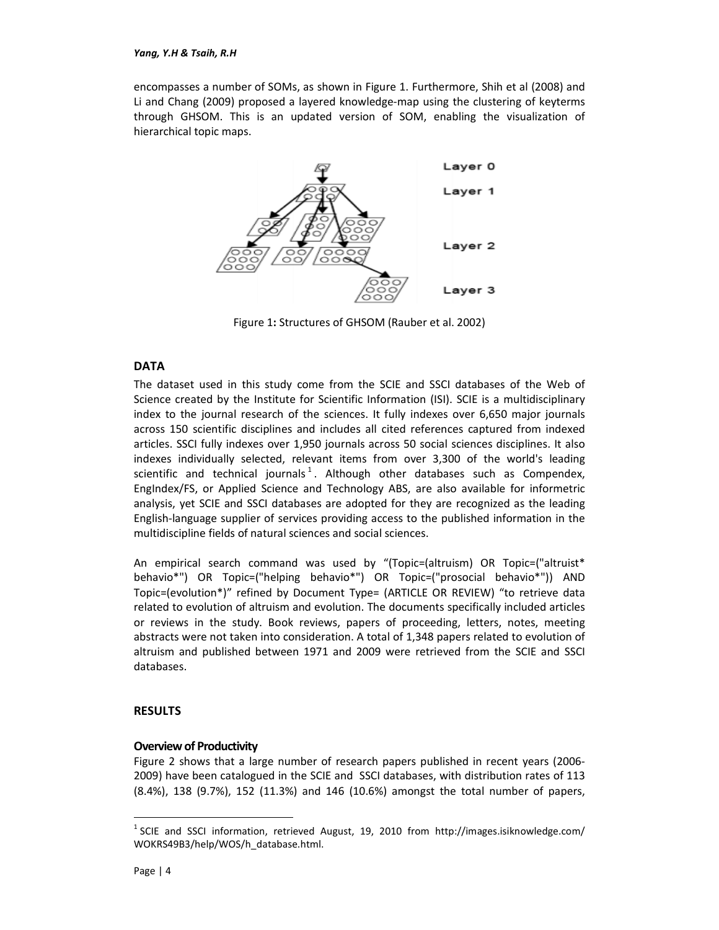encompasses a number of SOMs, as shown in Figure 1. Furthermore, Shih et al (2008) and Li and Chang (2009) proposed a layered knowledge-map using the clustering of keyterms through GHSOM. This is an updated version of SOM, enabling the visualization of hierarchical topic maps.



Figure 1**:** Structures of GHSOM (Rauber et al. 2002)

# **DATA**

The dataset used in this study come from the SCIE and SSCI databases of the Web of Science created by the Institute for Scientific Information (ISI). SCIE is a multidisciplinary index to the journal research of the sciences. It fully indexes over 6,650 major journals across 150 scientific disciplines and includes all cited references captured from indexed articles. SSCI fully indexes over 1,950 journals across 50 social sciences disciplines. It also indexes individually selected, relevant items from over 3,300 of the world's leading scientific and technical journals<sup>1</sup>. Although other databases such as Compendex, EngIndex/FS, or Applied Science and Technology ABS, are also available for informetric analysis, yet SCIE and SSCI databases are adopted for they are recognized as the leading English-language supplier of services providing access to the published information in the multidiscipline fields of natural sciences and social sciences.

An empirical search command was used by "(Topic=(altruism) OR Topic=("altruist\* behavio\*") OR Topic=("helping behavio\*") OR Topic=("prosocial behavio\*")) AND Topic=(evolution\*)" refined by Document Type= (ARTICLE OR REVIEW) "to retrieve data related to evolution of altruism and evolution. The documents specifically included articles or reviews in the study. Book reviews, papers of proceeding, letters, notes, meeting abstracts were not taken into consideration. A total of 1,348 papers related to evolution of altruism and published between 1971 and 2009 were retrieved from the SCIE and SSCI databases.

# **RESULTS**

## **Overview of Productivity**

Figure 2 shows that a large number of research papers published in recent years (2006- 2009) have been catalogued in the SCIE and SSCI databases, with distribution rates of 113 (8.4%), 138 (9.7%), 152 (11.3%) and 146 (10.6%) amongst the total number of papers,

-

 $<sup>1</sup>$  SCIE and SSCI information, retrieved August, 19, 2010 from http://images.isiknowledge.com/</sup> WOKRS49B3/help/WOS/h\_database.html.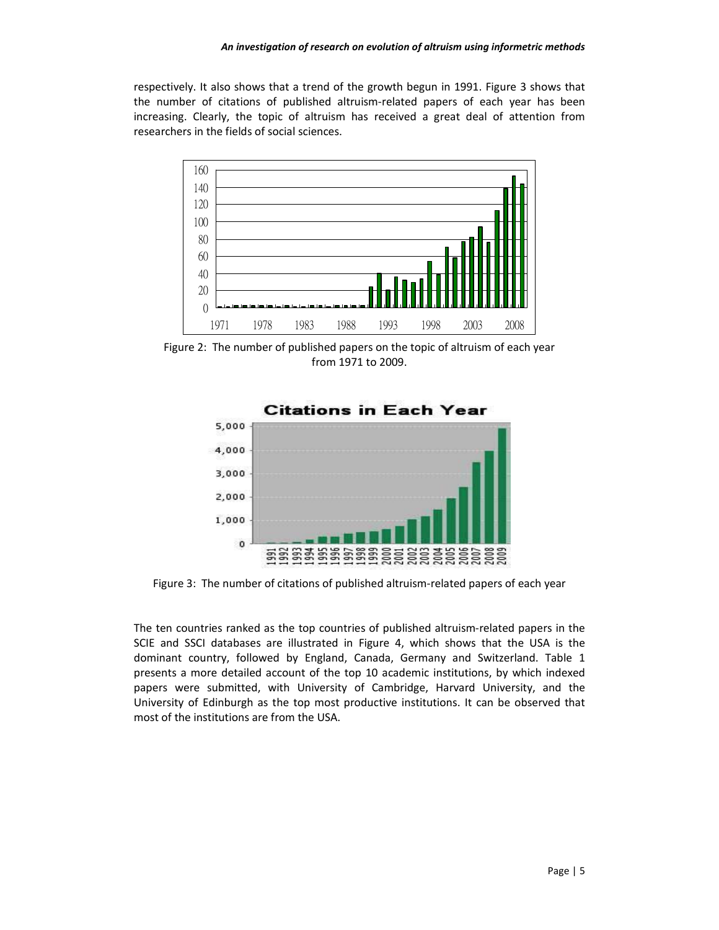respectively. It also shows that a trend of the growth begun in 1991. Figure 3 shows that the number of citations of published altruism-related papers of each year has been increasing. Clearly, the topic of altruism has received a great deal of attention from researchers in the fields of social sciences.



Figure 2: The number of published papers on the topic of altruism of each year from 1971 to 2009.



Figure 3: The number of citations of published altruism-related papers of each year

The ten countries ranked as the top countries of published altruism-related papers in the SCIE and SSCI databases are illustrated in Figure 4, which shows that the USA is the dominant country, followed by England, Canada, Germany and Switzerland. Table 1 presents a more detailed account of the top 10 academic institutions, by which indexed papers were submitted, with University of Cambridge, Harvard University, and the University of Edinburgh as the top most productive institutions. It can be observed that most of the institutions are from the USA.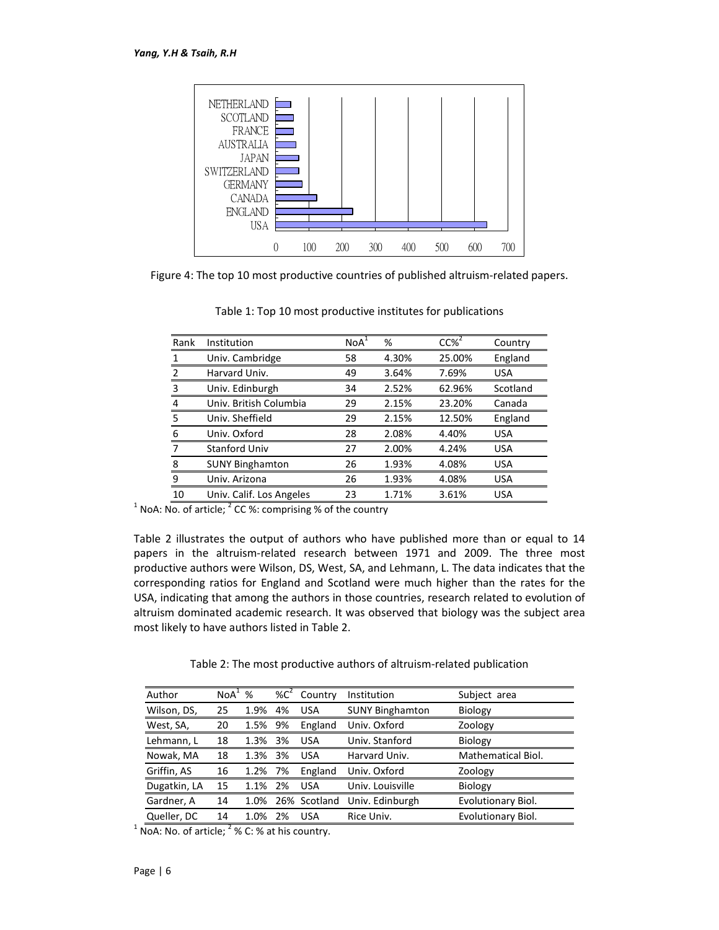

Figure 4: The top 10 most productive countries of published altruism-related papers.

| Rank          | Institution              | NoA <sup>1</sup> | %     | $CC\%$ <sup>2</sup> | Country    |
|---------------|--------------------------|------------------|-------|---------------------|------------|
| 1             | Univ. Cambridge          | 58               | 4.30% | 25.00%              | England    |
| $\mathcal{P}$ | Harvard Univ.            | 49               | 3.64% | 7.69%               | <b>USA</b> |
| 3             | Univ. Edinburgh          | 34               | 2.52% | 62.96%              | Scotland   |
| 4             | Univ. British Columbia   | 29               | 2.15% | 23.20%              | Canada     |
| 5             | Univ. Sheffield          | 29               | 2.15% | 12.50%              | England    |
| 6             | Univ. Oxford             | 28               | 2.08% | 4.40%               | <b>USA</b> |
| 7             | <b>Stanford Univ</b>     | 27               | 2.00% | 4.24%               | <b>USA</b> |
| 8             | <b>SUNY Binghamton</b>   | 26               | 1.93% | 4.08%               | <b>USA</b> |
| 9             | Univ. Arizona            | 26               | 1.93% | 4.08%               | <b>USA</b> |
| 10            | Univ. Calif. Los Angeles | 23               | 1.71% | 3.61%               | <b>USA</b> |

Table 1: Top 10 most productive institutes for publications

<sup>1</sup> NoA: No. of article;  ${}^{2}$  CC %: comprising % of the country

Table 2 illustrates the output of authors who have published more than or equal to 14 papers in the altruism-related research between 1971 and 2009. The three most productive authors were Wilson, DS, West, SA, and Lehmann, L. The data indicates that the corresponding ratios for England and Scotland were much higher than the rates for the USA, indicating that among the authors in those countries, research related to evolution of altruism dominated academic research. It was observed that biology was the subject area most likely to have authors listed in Table 2.

Table 2: The most productive authors of altruism-related publication

| Author       | NoA <sup>1</sup> | %    | % $C^2$ | Country      | Institution            | Subject area       |
|--------------|------------------|------|---------|--------------|------------------------|--------------------|
| Wilson, DS,  | 25               | 1.9% | 4%      | <b>USA</b>   | <b>SUNY Binghamton</b> | Biology            |
| West, SA,    | 20               | 1.5% | 9%      | England      | Univ. Oxford           | Zoology            |
| Lehmann, L   | 18               | 1.3% | 3%      | <b>USA</b>   | Univ. Stanford         | Biology            |
| Nowak, MA    | 18               | 1.3% | 3%      | <b>USA</b>   | Harvard Univ.          | Mathematical Biol. |
| Griffin, AS  | 16               | 1.2% | 7%      | England      | Univ. Oxford           | Zoology            |
| Dugatkin, LA | 15               | 1.1% | 2%      | <b>USA</b>   | Univ. Louisville       | Biology            |
| Gardner, A   | 14               | 1.0% |         | 26% Scotland | Univ. Edinburgh        | Evolutionary Biol. |
| Queller, DC  | 14               | 1.0% | 2%      | <b>USA</b>   | Rice Univ.             | Evolutionary Biol. |

 $1$  NoA: No. of article;  $2\%$  C: % at his country.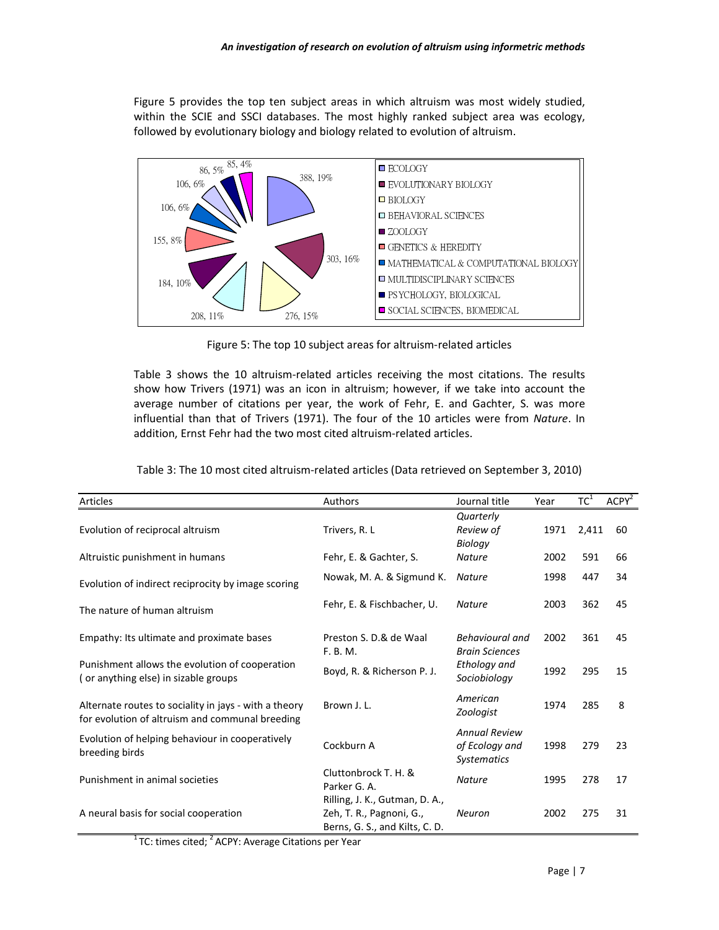Figure 5 provides the top ten subject areas in which altruism was most widely studied, within the SCIE and SSCI databases. The most highly ranked subject area was ecology, followed by evolutionary biology and biology related to evolution of altruism.



Figure 5: The top 10 subject areas for altruism-related articles

Table 3 shows the 10 altruism-related articles receiving the most citations. The results show how Trivers (1971) was an icon in altruism; however, if we take into account the average number of citations per year, the work of Fehr, E. and Gachter, S. was more influential than that of Trivers (1971). The four of the 10 articles were from *Nature*. In addition, Ernst Fehr had the two most cited altruism-related articles.

| Articles                                                                               | Authors                                                    | Journal title                        | Year | $TC^1$ | ACPY <sup>2</sup> |
|----------------------------------------------------------------------------------------|------------------------------------------------------------|--------------------------------------|------|--------|-------------------|
|                                                                                        |                                                            | Quarterly                            |      |        |                   |
| Evolution of reciprocal altruism                                                       | Trivers, R. L                                              | Review of                            | 1971 | 2,411  | 60                |
|                                                                                        |                                                            | Biology                              |      |        |                   |
| Altruistic punishment in humans                                                        | Fehr, E. & Gachter, S.                                     | <b>Nature</b>                        | 2002 | 591    | 66                |
| Evolution of indirect reciprocity by image scoring                                     | Nowak, M. A. & Sigmund K.                                  | <b>Nature</b>                        | 1998 | 447    | 34                |
| The nature of human altruism                                                           | Fehr, E. & Fischbacher, U.                                 | <b>Nature</b>                        | 2003 | 362    | 45                |
| Empathy: Its ultimate and proximate bases                                              | Preston S. D.& de Waal                                     | Behavioural and                      | 2002 | 361    | 45                |
|                                                                                        | F. B. M.                                                   | <b>Brain Sciences</b>                |      |        |                   |
| Punishment allows the evolution of cooperation<br>(or anything else) in sizable groups | Boyd, R. & Richerson P. J.                                 | Ethology and<br>Sociobiology         | 1992 | 295    | 15                |
| Alternate routes to sociality in jays - with a theory                                  | Brown J. L.                                                | American                             | 1974 | 285    | 8                 |
| for evolution of altruism and communal breeding                                        |                                                            | Zoologist                            |      |        |                   |
|                                                                                        |                                                            | <b>Annual Review</b>                 |      |        |                   |
| Evolution of helping behaviour in cooperatively<br>breeding birds                      | Cockburn A                                                 | of Ecology and<br><b>Systematics</b> | 1998 | 279    | 23                |
| Punishment in animal societies                                                         | Cluttonbrock T. H. &<br>Parker G. A.                       | <b>Nature</b>                        | 1995 | 278    | 17                |
|                                                                                        | Rilling, J. K., Gutman, D. A.,                             |                                      |      |        |                   |
| A neural basis for social cooperation                                                  | Zeh, T. R., Pagnoni, G.,<br>Berns, G. S., and Kilts, C. D. | <b>Neuron</b>                        | 2002 | 275    | 31                |

|  | Table 3: The 10 most cited altruism-related articles (Data retrieved on September 3, 2010) |  |  |
|--|--------------------------------------------------------------------------------------------|--|--|
|  |                                                                                            |  |  |

 $1$ TC: times cited;  $2$  ACPY: Average Citations per Year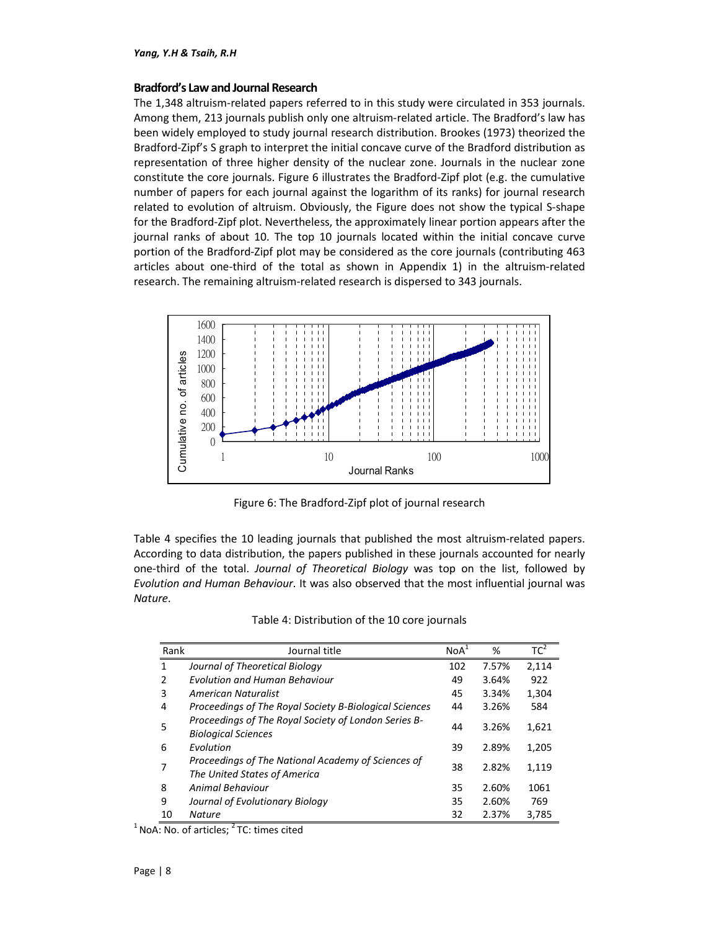#### **Bradford's Law and Journal Research**

The 1,348 altruism-related papers referred to in this study were circulated in 353 journals. Among them, 213 journals publish only one altruism-related article. The Bradford's law has been widely employed to study journal research distribution. Brookes (1973) theorized the Bradford-Zipf's S graph to interpret the initial concave curve of the Bradford distribution as representation of three higher density of the nuclear zone. Journals in the nuclear zone constitute the core journals. Figure 6 illustrates the Bradford-Zipf plot (e.g. the cumulative number of papers for each journal against the logarithm of its ranks) for journal research related to evolution of altruism. Obviously, the Figure does not show the typical S-shape for the Bradford-Zipf plot. Nevertheless, the approximately linear portion appears after the journal ranks of about 10. The top 10 journals located within the initial concave curve portion of the Bradford-Zipf plot may be considered as the core journals (contributing 463 articles about one-third of the total as shown in Appendix 1) in the altruism-related research. The remaining altruism-related research is dispersed to 343 journals.



Figure 6: The Bradford-Zipf plot of journal research

Table 4 specifies the 10 leading journals that published the most altruism-related papers. According to data distribution, the papers published in these journals accounted for nearly one-third of the total. *Journal of Theoretical Biology* was top on the list, followed by *Evolution and Human Behaviour*. It was also observed that the most influential journal was *Nature*.

| Table 4: Distribution of the 10 core journals |  |  |
|-----------------------------------------------|--|--|
|-----------------------------------------------|--|--|

| Rank          | Journal title                                                                      | NoA <sup>1</sup> | %     | TC <sup>2</sup> |
|---------------|------------------------------------------------------------------------------------|------------------|-------|-----------------|
| 1             | Journal of Theoretical Biology                                                     | 102              | 7.57% | 2,114           |
| $\mathcal{P}$ | <b>Evolution and Human Behaviour</b>                                               | 49               | 3.64% | 922             |
| 3             | American Naturalist                                                                | 45               | 3.34% | 1,304           |
| 4             | Proceedings of The Royal Society B-Biological Sciences                             | 44               | 3.26% | 584             |
| 5             | Proceedings of The Royal Society of London Series B-<br><b>Biological Sciences</b> | 44               | 3.26% | 1,621           |
| 6             | Evolution                                                                          | 39               | 2.89% | 1,205           |
| 7             | Proceedings of The National Academy of Sciences of<br>The United States of America | 38               | 2.82% | 1,119           |
| 8             | Animal Behaviour                                                                   | 35               | 2.60% | 1061            |
| 9             | Journal of Evolutionary Biology                                                    | 35               | 2.60% | 769             |
| 10            | <b>Nature</b>                                                                      | 32               | 2.37% | 3,785           |

 $1$  NoA: No. of articles;  $2$  TC: times cited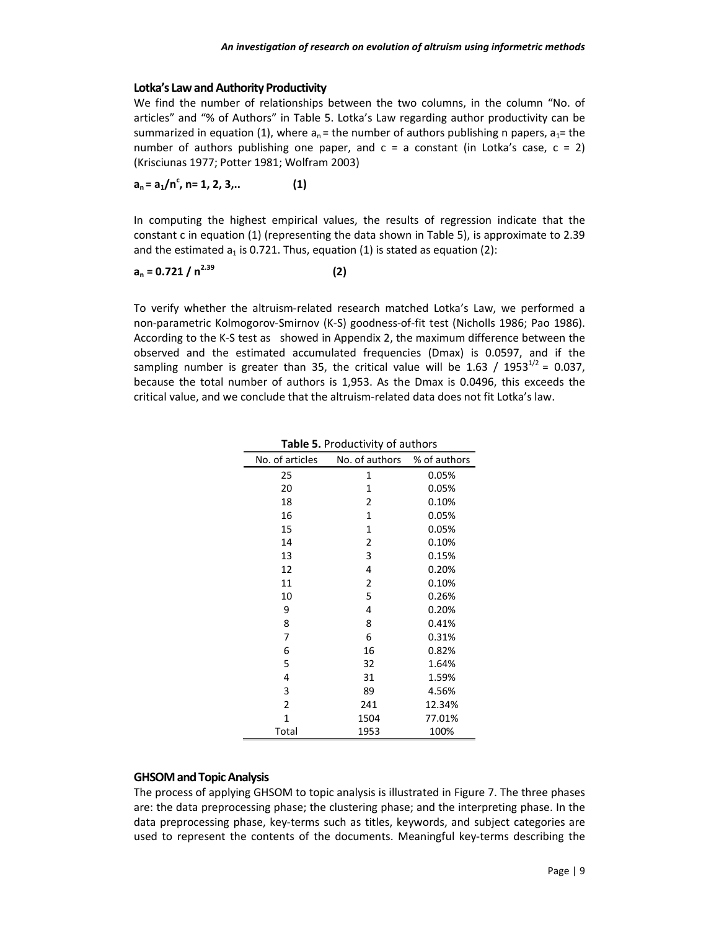### **Lotka's Law and Authority Productivity**

We find the number of relationships between the two columns, in the column "No. of articles" and "% of Authors" in Table 5. Lotka's Law regarding author productivity can be summarized in equation (1), where  $a_n$  = the number of authors publishing n papers,  $a_1$  = the number of authors publishing one paper, and  $c = a$  constant (in Lotka's case,  $c = 2$ ) (Krisciunas 1977; Potter 1981; Wolfram 2003)

**an = a1/n<sup>c</sup> , n= 1, 2, 3,.. (1)** 

In computing the highest empirical values, the results of regression indicate that the constant c in equation (1) (representing the data shown in Table 5), is approximate to 2.39 and the estimated  $a_1$  is 0.721. Thus, equation (1) is stated as equation (2):

$$
a_n = 0.721 / n^{2.39}
$$
 (2)

To verify whether the altruism-related research matched Lotka's Law, we performed a non-parametric Kolmogorov-Smirnov (K-S) goodness-of-fit test (Nicholls 1986; Pao 1986). According to the K-S test as showed in Appendix 2, the maximum difference between the observed and the estimated accumulated frequencies (Dmax) is 0.0597, and if the sampling number is greater than 35, the critical value will be 1.63 / 1953<sup>1/2</sup> = 0.037, because the total number of authors is 1,953. As the Dmax is 0.0496, this exceeds the critical value, and we conclude that the altruism-related data does not fit Lotka's law.

| No. of articles | No. of authors | % of authors |
|-----------------|----------------|--------------|
| 25              | 1              | 0.05%        |
| 20              | 1              | 0.05%        |
| 18              | 2              | 0.10%        |
| 16              | 1              | 0.05%        |
| 15              | 1              | 0.05%        |
| 14              | 2              | 0.10%        |
| 13              | 3              | 0.15%        |
| 12              | 4              | 0.20%        |
| 11              | 2              | 0.10%        |
| 10              | 5              | 0.26%        |
| 9               | 4              | 0.20%        |
| 8               | 8              | 0.41%        |
| 7               | 6              | 0.31%        |
| 6               | 16             | 0.82%        |
| 5               | 32             | 1.64%        |
| 4               | 31             | 1.59%        |
| 3               | 89             | 4.56%        |
| 2               | 241            | 12.34%       |
| $\mathbf{1}$    | 1504           | 77.01%       |
| Total           | 1953           | 100%         |

**Table 5.** Productivity of authors

#### **GHSOM and Topic Analysis**

The process of applying GHSOM to topic analysis is illustrated in Figure 7. The three phases are: the data preprocessing phase; the clustering phase; and the interpreting phase. In the data preprocessing phase, key-terms such as titles, keywords, and subject categories are used to represent the contents of the documents. Meaningful key-terms describing the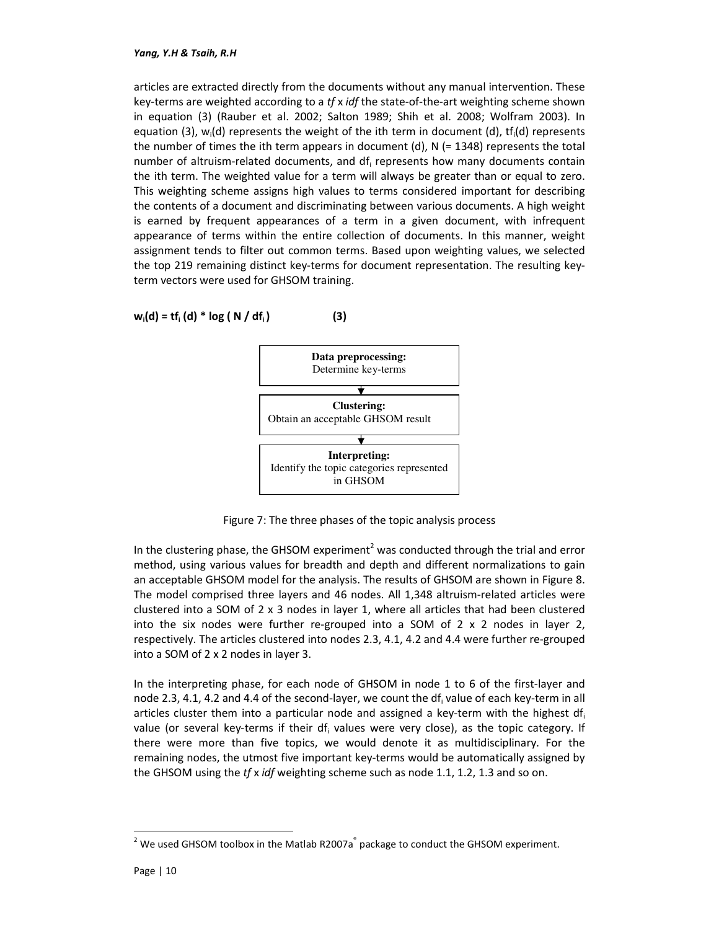articles are extracted directly from the documents without any manual intervention. These key-terms are weighted according to a *tf* x *idf* the state-of-the-art weighting scheme shown in equation (3) (Rauber et al. 2002; Salton 1989; Shih et al. 2008; Wolfram 2003). In equation (3),  $w_i(d)$  represents the weight of the ith term in document (d), tf<sub>i</sub>(d) represents the number of times the ith term appears in document (d),  $N$  (= 1348) represents the total number of altruism-related documents, and df<sub>i</sub> represents how many documents contain the ith term. The weighted value for a term will always be greater than or equal to zero. This weighting scheme assigns high values to terms considered important for describing the contents of a document and discriminating between various documents. A high weight is earned by frequent appearances of a term in a given document, with infrequent appearance of terms within the entire collection of documents. In this manner, weight assignment tends to filter out common terms. Based upon weighting values, we selected the top 219 remaining distinct key-terms for document representation. The resulting keyterm vectors were used for GHSOM training.

$$
w_i(d) = tf_i(d) * log(N/df_i)
$$
 (3)



Figure 7: The three phases of the topic analysis process

In the clustering phase, the GHSOM experiment<sup>2</sup> was conducted through the trial and error method, using various values for breadth and depth and different normalizations to gain an acceptable GHSOM model for the analysis. The results of GHSOM are shown in Figure 8. The model comprised three layers and 46 nodes. All 1,348 altruism-related articles were clustered into a SOM of 2 x 3 nodes in layer 1, where all articles that had been clustered into the six nodes were further re-grouped into a SOM of  $2 \times 2$  nodes in layer 2, respectively. The articles clustered into nodes 2.3, 4.1, 4.2 and 4.4 were further re-grouped into a SOM of 2 x 2 nodes in layer 3.

In the interpreting phase, for each node of GHSOM in node 1 to 6 of the first-layer and node 2.3, 4.1, 4.2 and 4.4 of the second-layer, we count the df<sub>i</sub> value of each key-term in all articles cluster them into a particular node and assigned a key-term with the highest  $df_i$ value (or several key-terms if their df<sub>i</sub> values were very close), as the topic category. If there were more than five topics, we would denote it as multidisciplinary. For the remaining nodes, the utmost five important key-terms would be automatically assigned by the GHSOM using the *tf* x *idf* weighting scheme such as node 1.1, 1.2, 1.3 and so on.

-

 $2$  We used GHSOM toolbox in the Matlab R2007a  $\degree$  package to conduct the GHSOM experiment.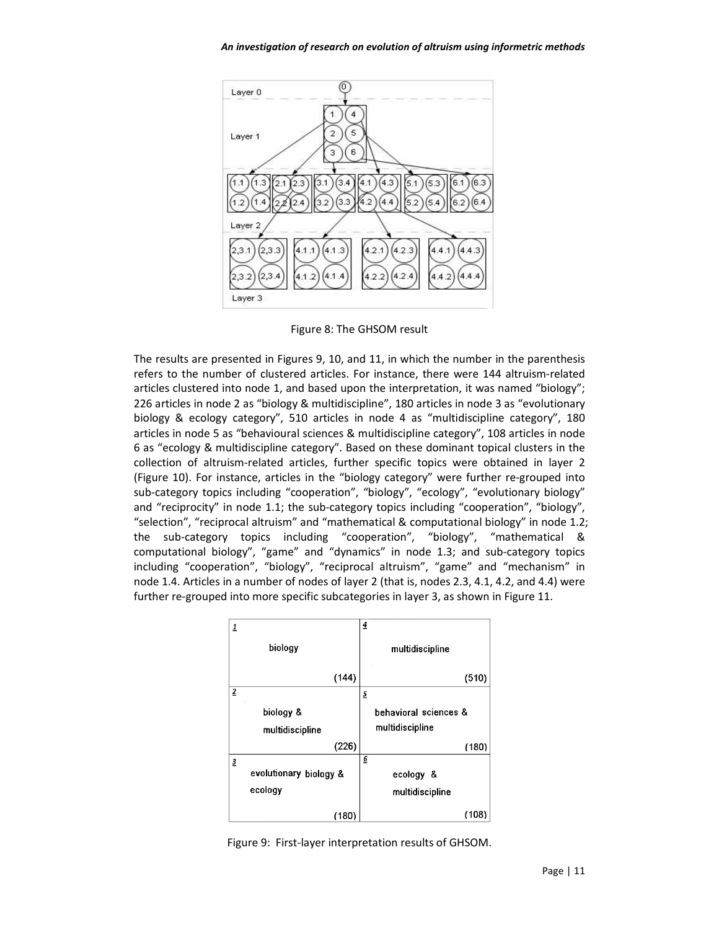

Figure 8: The GHSOM result

The results are presented in Figures 9, 10, and 11, in which the number in the parenthesis refers to the number of clustered articles. For instance, there were 144 altruism-related articles clustered into node 1, and based upon the interpretation, it was named "biology"; 226 articles in node 2 as "biology & multidiscipline", 180 articles in node 3 as "evolutionary biology & ecology category", 510 articles in node 4 as "multidiscipline category", 180 articles in node 5 as "behavioural sciences & multidiscipline category", 108 articles in node 6 as "ecology & multidiscipline category". Based on these dominant topical clusters in the collection of altruism-related articles, further specific topics were obtained in layer 2 (Figure 10). For instance, articles in the "biology category" were further re-grouped into sub-category topics including "cooperation", "biology", "ecology", "evolutionary biology" and "reciprocity" in node 1.1; the sub-category topics including "cooperation", "biology", "selection", "reciprocal altruism" and "mathematical & computational biology" in node 1.2; the sub-category topics including "cooperation", "biology", "mathematical & computational biology", "game" and "dynamics" in node 1.3; and sub-category topics including "cooperation", "biology", "reciprocal altruism", "game" and "mechanism" in node 1.4. Articles in a number of nodes of layer 2 (that is, nodes 2.3, 4.1, 4.2, and 4.4) were further re-grouped into more specific subcategories in layer 3, as shown in Figure 11.



Figure 9: First-layer interpretation results of GHSOM.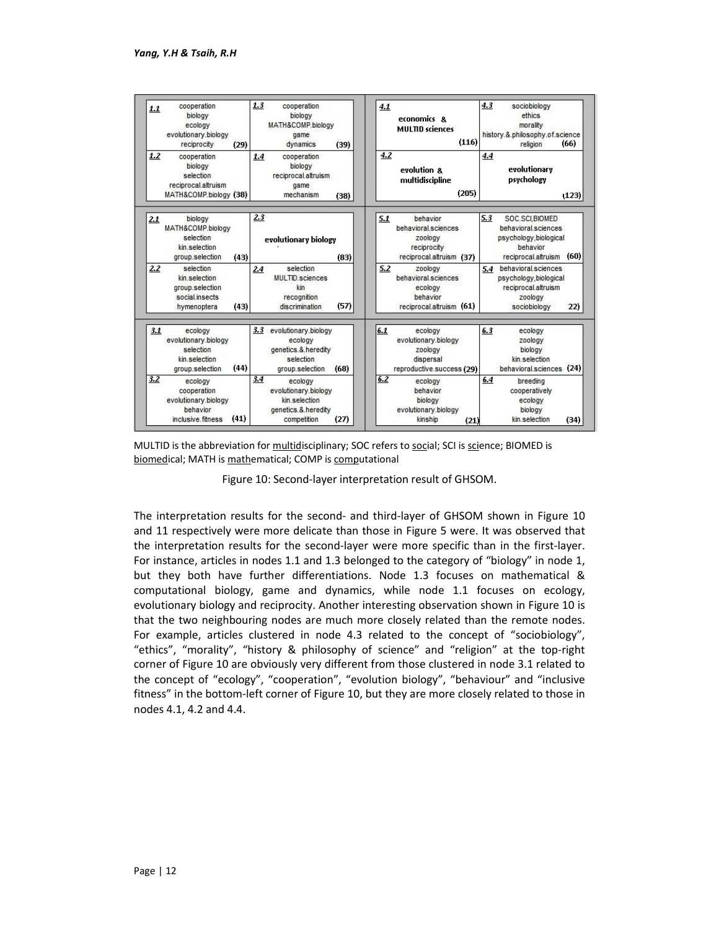

MULTID is the abbreviation for multidisciplinary; SOC refers to social; SCI is science; BIOMED is biomedical; MATH is mathematical; COMP is computational

Figure 10: Second-layer interpretation result of GHSOM.

The interpretation results for the second- and third-layer of GHSOM shown in Figure 10 and 11 respectively were more delicate than those in Figure 5 were. It was observed that the interpretation results for the second-layer were more specific than in the first-layer. For instance, articles in nodes 1.1 and 1.3 belonged to the category of "biology" in node 1, but they both have further differentiations. Node 1.3 focuses on mathematical & computational biology, game and dynamics, while node 1.1 focuses on ecology, evolutionary biology and reciprocity. Another interesting observation shown in Figure 10 is that the two neighbouring nodes are much more closely related than the remote nodes. For example, articles clustered in node 4.3 related to the concept of "sociobiology", "ethics", "morality", "history & philosophy of science" and "religion" at the top-right corner of Figure 10 are obviously very different from those clustered in node 3.1 related to the concept of "ecology", "cooperation", "evolution biology", "behaviour" and "inclusive fitness" in the bottom-left corner of Figure 10, but they are more closely related to those in nodes 4.1, 4.2 and 4.4.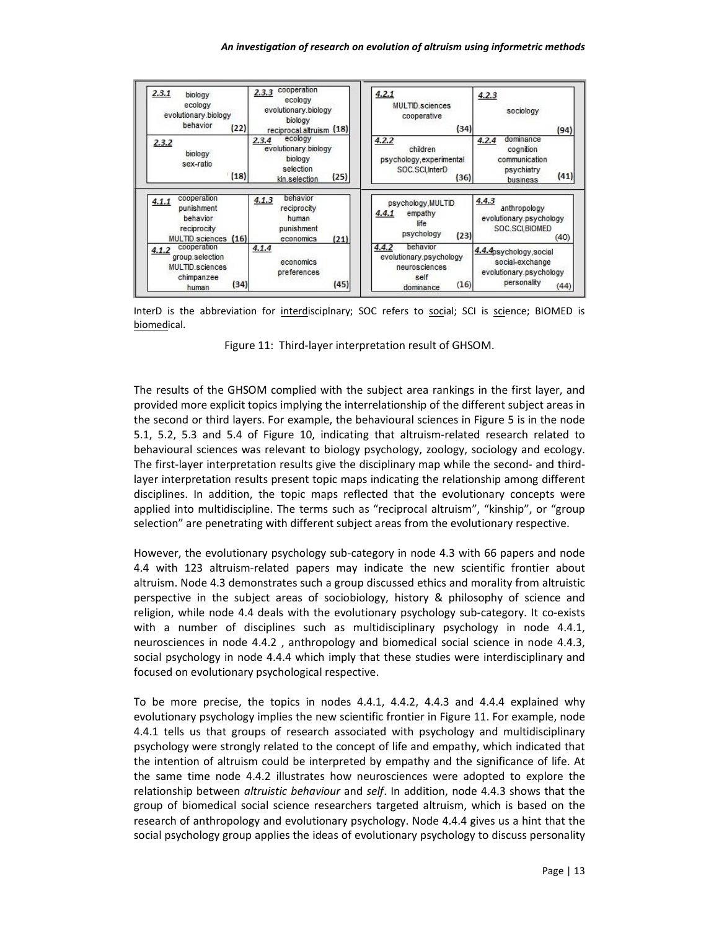

InterD is the abbreviation for interdisciplnary; SOC refers to social; SCI is science; BIOMED is biomedical.

Figure 11: Third-layer interpretation result of GHSOM.

The results of the GHSOM complied with the subject area rankings in the first layer, and provided more explicit topics implying the interrelationship of the different subject areas in the second or third layers. For example, the behavioural sciences in Figure 5 is in the node 5.1, 5.2, 5.3 and 5.4 of Figure 10, indicating that altruism-related research related to behavioural sciences was relevant to biology psychology, zoology, sociology and ecology. The first-layer interpretation results give the disciplinary map while the second- and thirdlayer interpretation results present topic maps indicating the relationship among different disciplines. In addition, the topic maps reflected that the evolutionary concepts were applied into multidiscipline. The terms such as "reciprocal altruism", "kinship", or "group selection" are penetrating with different subject areas from the evolutionary respective.

However, the evolutionary psychology sub-category in node 4.3 with 66 papers and node 4.4 with 123 altruism-related papers may indicate the new scientific frontier about altruism. Node 4.3 demonstrates such a group discussed ethics and morality from altruistic perspective in the subject areas of sociobiology, history & philosophy of science and religion, while node 4.4 deals with the evolutionary psychology sub-category. It co-exists with a number of disciplines such as multidisciplinary psychology in node 4.4.1, neurosciences in node 4.4.2 , anthropology and biomedical social science in node 4.4.3, social psychology in node 4.4.4 which imply that these studies were interdisciplinary and focused on evolutionary psychological respective.

To be more precise, the topics in nodes 4.4.1, 4.4.2, 4.4.3 and 4.4.4 explained why evolutionary psychology implies the new scientific frontier in Figure 11. For example, node 4.4.1 tells us that groups of research associated with psychology and multidisciplinary psychology were strongly related to the concept of life and empathy, which indicated that the intention of altruism could be interpreted by empathy and the significance of life. At the same time node 4.4.2 illustrates how neurosciences were adopted to explore the relationship between *altruistic behaviour* and *self*. In addition, node 4.4.3 shows that the group of biomedical social science researchers targeted altruism, which is based on the research of anthropology and evolutionary psychology. Node 4.4.4 gives us a hint that the social psychology group applies the ideas of evolutionary psychology to discuss personality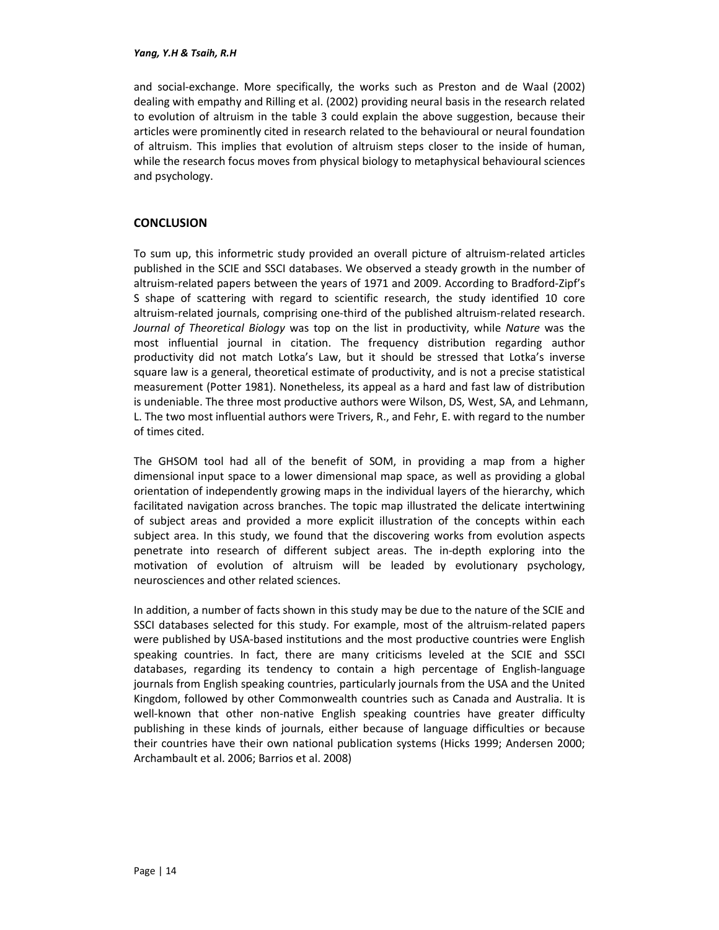and social-exchange. More specifically, the works such as Preston and de Waal (2002) dealing with empathy and Rilling et al. (2002) providing neural basis in the research related to evolution of altruism in the table 3 could explain the above suggestion, because their articles were prominently cited in research related to the behavioural or neural foundation of altruism. This implies that evolution of altruism steps closer to the inside of human, while the research focus moves from physical biology to metaphysical behavioural sciences and psychology.

## **CONCLUSION**

To sum up, this informetric study provided an overall picture of altruism-related articles published in the SCIE and SSCI databases. We observed a steady growth in the number of altruism-related papers between the years of 1971 and 2009. According to Bradford-Zipf's S shape of scattering with regard to scientific research, the study identified 10 core altruism-related journals, comprising one-third of the published altruism-related research. *Journal of Theoretical Biology* was top on the list in productivity, while *Nature* was the most influential journal in citation. The frequency distribution regarding author productivity did not match Lotka's Law, but it should be stressed that Lotka's inverse square law is a general, theoretical estimate of productivity, and is not a precise statistical measurement (Potter 1981). Nonetheless, its appeal as a hard and fast law of distribution is undeniable. The three most productive authors were Wilson, DS, West, SA, and Lehmann, L. The two most influential authors were Trivers, R., and Fehr, E. with regard to the number of times cited.

The GHSOM tool had all of the benefit of SOM, in providing a map from a higher dimensional input space to a lower dimensional map space, as well as providing a global orientation of independently growing maps in the individual layers of the hierarchy, which facilitated navigation across branches. The topic map illustrated the delicate intertwining of subject areas and provided a more explicit illustration of the concepts within each subject area. In this study, we found that the discovering works from evolution aspects penetrate into research of different subject areas. The in-depth exploring into the motivation of evolution of altruism will be leaded by evolutionary psychology, neurosciences and other related sciences.

In addition, a number of facts shown in this study may be due to the nature of the SCIE and SSCI databases selected for this study. For example, most of the altruism-related papers were published by USA-based institutions and the most productive countries were English speaking countries. In fact, there are many criticisms leveled at the SCIE and SSCI databases, regarding its tendency to contain a high percentage of English-language journals from English speaking countries, particularly journals from the USA and the United Kingdom, followed by other Commonwealth countries such as Canada and Australia. It is well-known that other non-native English speaking countries have greater difficulty publishing in these kinds of journals, either because of language difficulties or because their countries have their own national publication systems (Hicks 1999; Andersen 2000; Archambault et al. 2006; Barrios et al. 2008)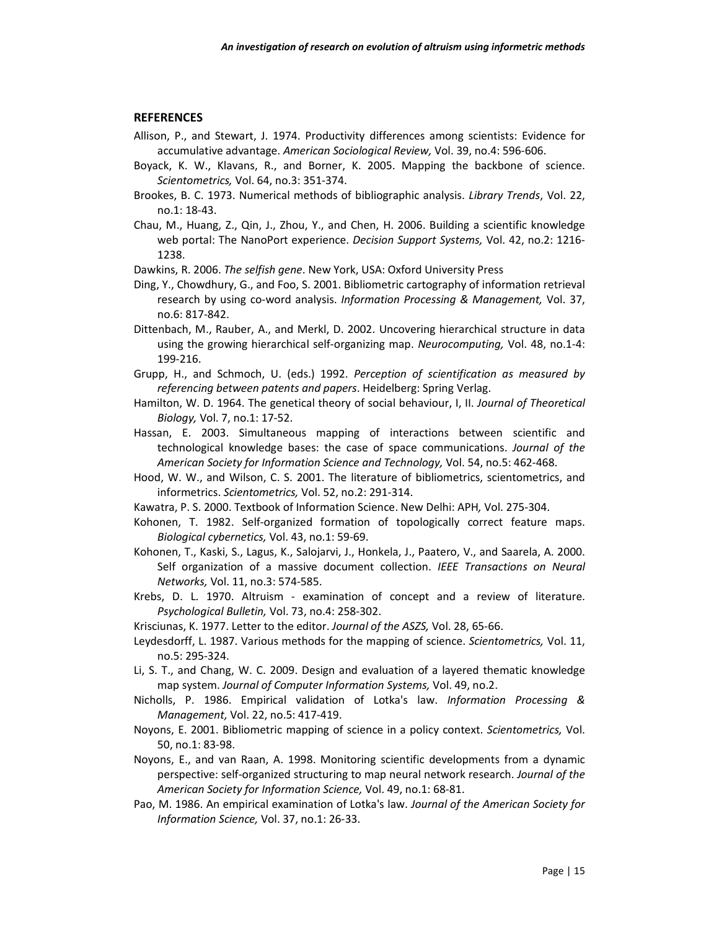#### **REFERENCES**

- Allison, P., and Stewart, J. 1974. Productivity differences among scientists: Evidence for accumulative advantage. *American Sociological Review,* Vol. 39, no.4: 596-606.
- Boyack, K. W., Klavans, R., and Borner, K. 2005. Mapping the backbone of science. *Scientometrics,* Vol. 64, no.3: 351-374.
- Brookes, B. C. 1973. Numerical methods of bibliographic analysis. *Library Trends*, Vol. 22, no.1: 18-43.
- Chau, M., Huang, Z., Qin, J., Zhou, Y., and Chen, H. 2006. Building a scientific knowledge web portal: The NanoPort experience. *Decision Support Systems,* Vol. 42, no.2: 1216- 1238.
- Dawkins, R. 2006. *The selfish gene*. New York, USA: Oxford University Press
- Ding, Y., Chowdhury, G., and Foo, S. 2001. Bibliometric cartography of information retrieval research by using co-word analysis. *Information Processing & Management,* Vol. 37, no.6: 817-842.
- Dittenbach, M., Rauber, A., and Merkl, D. 2002. Uncovering hierarchical structure in data using the growing hierarchical self-organizing map. *Neurocomputing,* Vol. 48, no.1-4: 199-216.
- Grupp, H., and Schmoch, U. (eds.) 1992. *Perception of scientification as measured by referencing between patents and papers*. Heidelberg: Spring Verlag.
- Hamilton, W. D. 1964. The genetical theory of social behaviour, I, II. *Journal of Theoretical Biology,* Vol. 7, no.1: 17-52.
- Hassan, E. 2003. Simultaneous mapping of interactions between scientific and technological knowledge bases: the case of space communications. *Journal of the American Society for Information Science and Technology,* Vol. 54, no.5: 462-468.
- Hood, W. W., and Wilson, C. S. 2001. The literature of bibliometrics, scientometrics, and informetrics. *Scientometrics,* Vol. 52, no.2: 291-314.
- Kawatra, P. S. 2000. Textbook of Information Science. New Delhi: APH*,* Vol. 275-304.
- Kohonen, T. 1982. Self-organized formation of topologically correct feature maps. *Biological cybernetics,* Vol. 43, no.1: 59-69.
- Kohonen, T., Kaski, S., Lagus, K., Salojarvi, J., Honkela, J., Paatero, V., and Saarela, A. 2000. Self organization of a massive document collection. *IEEE Transactions on Neural Networks,* Vol. 11, no.3: 574-585.
- Krebs, D. L. 1970. Altruism examination of concept and a review of literature. *Psychological Bulletin,* Vol. 73, no.4: 258-302.
- Krisciunas, K. 1977. Letter to the editor. *Journal of the ASZS,* Vol. 28, 65-66.
- Leydesdorff, L. 1987. Various methods for the mapping of science. *Scientometrics,* Vol. 11, no.5: 295-324.
- Li, S. T., and Chang, W. C. 2009. Design and evaluation of a layered thematic knowledge map system. *Journal of Computer Information Systems,* Vol. 49, no.2.
- Nicholls, P. 1986. Empirical validation of Lotka's law. *Information Processing & Management,* Vol. 22, no.5: 417-419.
- Noyons, E. 2001. Bibliometric mapping of science in a policy context. *Scientometrics,* Vol. 50, no.1: 83-98.
- Noyons, E., and van Raan, A. 1998. Monitoring scientific developments from a dynamic perspective: self-organized structuring to map neural network research. *Journal of the American Society for Information Science,* Vol. 49, no.1: 68-81.
- Pao, M. 1986. An empirical examination of Lotka's law. *Journal of the American Society for Information Science,* Vol. 37, no.1: 26-33.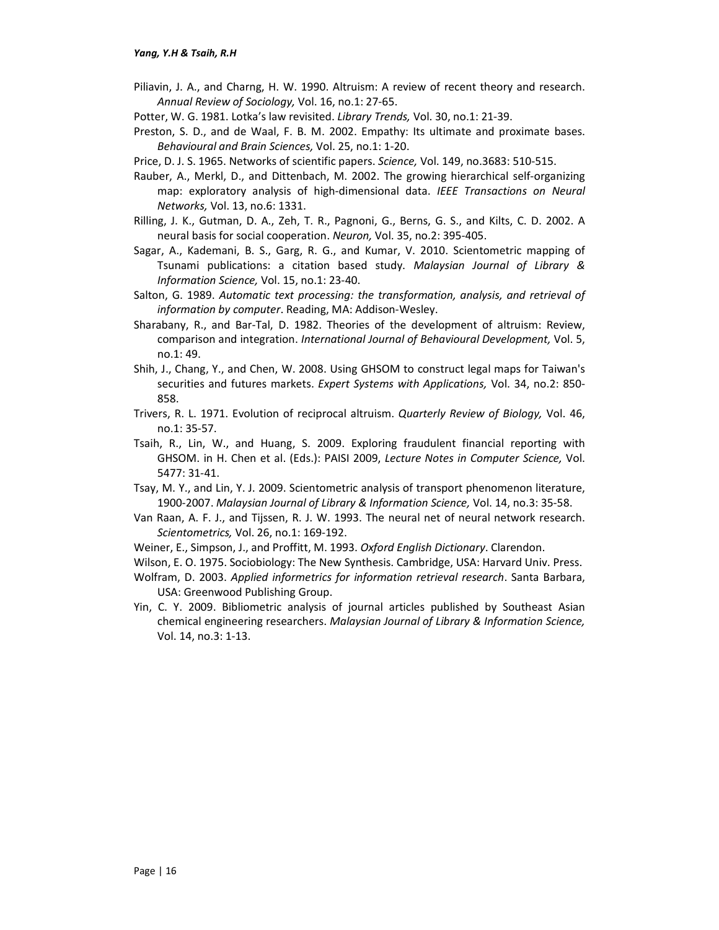- Piliavin, J. A., and Charng, H. W. 1990. Altruism: A review of recent theory and research. *Annual Review of Sociology,* Vol. 16, no.1: 27-65.
- Potter, W. G. 1981. Lotka's law revisited. *Library Trends,* Vol. 30, no.1: 21-39.
- Preston, S. D., and de Waal, F. B. M. 2002. Empathy: Its ultimate and proximate bases. *Behavioural and Brain Sciences,* Vol. 25, no.1: 1-20.
- Price, D. J. S. 1965. Networks of scientific papers. *Science,* Vol. 149, no.3683: 510-515.
- Rauber, A., Merkl, D., and Dittenbach, M. 2002. The growing hierarchical self-organizing map: exploratory analysis of high-dimensional data. *IEEE Transactions on Neural Networks,* Vol. 13, no.6: 1331.
- Rilling, J. K., Gutman, D. A., Zeh, T. R., Pagnoni, G., Berns, G. S., and Kilts, C. D. 2002. A neural basis for social cooperation. *Neuron,* Vol. 35, no.2: 395-405.
- Sagar, A., Kademani, B. S., Garg, R. G., and Kumar, V. 2010. Scientometric mapping of Tsunami publications: a citation based study. *Malaysian Journal of Library & Information Science,* Vol. 15, no.1: 23-40.
- Salton, G. 1989. *Automatic text processing: the transformation, analysis, and retrieval of information by computer*. Reading, MA: Addison-Wesley.
- Sharabany, R., and Bar-Tal, D. 1982. Theories of the development of altruism: Review, comparison and integration. *International Journal of Behavioural Development,* Vol. 5, no.1: 49.
- Shih, J., Chang, Y., and Chen, W. 2008. Using GHSOM to construct legal maps for Taiwan's securities and futures markets. *Expert Systems with Applications,* Vol. 34, no.2: 850- 858.
- Trivers, R. L. 1971. Evolution of reciprocal altruism. *Quarterly Review of Biology,* Vol. 46, no.1: 35-57.
- Tsaih, R., Lin, W., and Huang, S. 2009. Exploring fraudulent financial reporting with GHSOM. in H. Chen et al. (Eds.): PAISI 2009, *Lecture Notes in Computer Science,* Vol. 5477: 31-41.
- Tsay, M. Y., and Lin, Y. J. 2009. Scientometric analysis of transport phenomenon literature, 1900-2007. *Malaysian Journal of Library & Information Science,* Vol. 14, no.3: 35-58.
- Van Raan, A. F. J., and Tijssen, R. J. W. 1993. The neural net of neural network research. *Scientometrics,* Vol. 26, no.1: 169-192.
- Weiner, E., Simpson, J., and Proffitt, M. 1993. *Oxford English Dictionary*. Clarendon.
- Wilson, E. O. 1975. Sociobiology: The New Synthesis. Cambridge, USA: Harvard Univ. Press.
- Wolfram, D. 2003. *Applied informetrics for information retrieval research*. Santa Barbara, USA: Greenwood Publishing Group.
- Yin, C. Y. 2009. Bibliometric analysis of journal articles published by Southeast Asian chemical engineering researchers. *Malaysian Journal of Library & Information Science,* Vol. 14, no.3: 1-13.